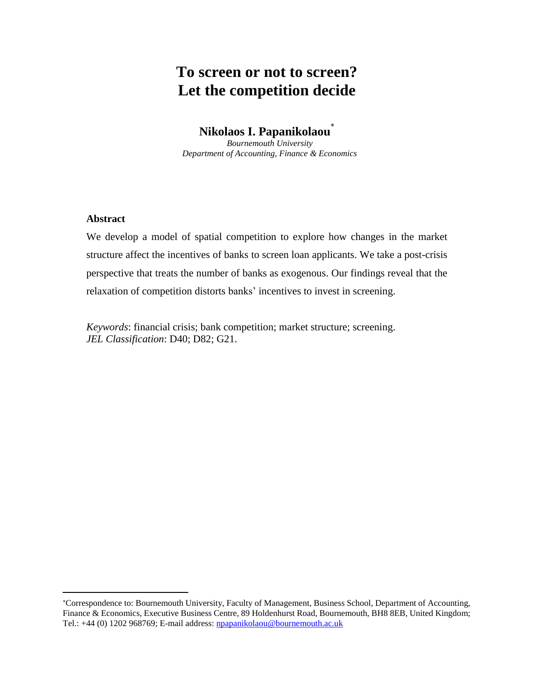# **To screen or not to screen? Let the competition decide**

## **Nikolaos I. Papanikolaou**

*Bournemouth University Department of Accounting, Finance & Economics*

### **Abstract**

 $\overline{a}$ 

We develop a model of spatial competition to explore how changes in the market structure affect the incentives of banks to screen loan applicants. We take a post-crisis perspective that treats the number of banks as exogenous. Our findings reveal that the relaxation of competition distorts banks' incentives to invest in screening.

*Keywords*: financial crisis; bank competition; market structure; screening. *JEL Classification*: D40; D82; G21.

Correspondence to: Bournemouth University, Faculty of Management, Business School, Department of Accounting, Finance & Economics, Executive Business Centre, 89 Holdenhurst Road, Bournemouth, BH8 8EB, United Kingdom; Tel.: +44 (0) 1202 968769; E-mail address: npapanikolaou@bournemouth.ac.uk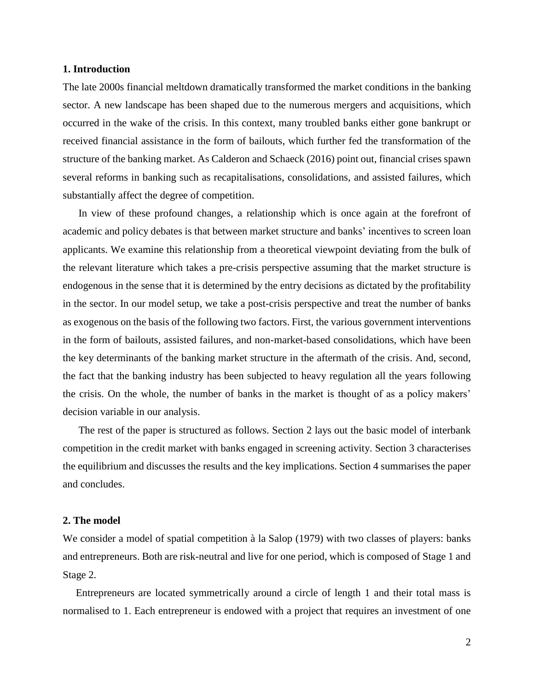#### **1. Introduction**

The late 2000s financial meltdown dramatically transformed the market conditions in the banking sector. A new landscape has been shaped due to the numerous mergers and acquisitions, which occurred in the wake of the crisis. In this context, many troubled banks either gone bankrupt or received financial assistance in the form of bailouts, which further fed the transformation of the structure of the banking market. As Calderon and Schaeck (2016) point out, financial crises spawn several reforms in banking such as recapitalisations, consolidations, and assisted failures, which substantially affect the degree of competition.

In view of these profound changes, a relationship which is once again at the forefront of academic and policy debates is that between market structure and banks' incentives to screen loan applicants. We examine this relationship from a theoretical viewpoint deviating from the bulk of the relevant literature which takes a pre-crisis perspective assuming that the market structure is endogenous in the sense that it is determined by the entry decisions as dictated by the profitability in the sector. In our model setup, we take a post-crisis perspective and treat the number of banks as exogenous on the basis of the following two factors. First, the various government interventions in the form of bailouts, assisted failures, and non-market-based consolidations, which have been the key determinants of the banking market structure in the aftermath of the crisis. And, second, the fact that the banking industry has been subjected to heavy regulation all the years following the crisis. On the whole, the number of banks in the market is thought of as a policy makers' decision variable in our analysis.

The rest of the paper is structured as follows. Section 2 lays out the basic model of interbank competition in the credit market with banks engaged in screening activity. Section 3 characterises the equilibrium and discusses the results and the key implications. Section 4 summarises the paper and concludes.

#### **2. The model**

We consider a model of spatial competition à la Salop (1979) with two classes of players: banks and entrepreneurs. Both are risk-neutral and live for one period, which is composed of Stage 1 and Stage 2.

 Entrepreneurs are located symmetrically around a circle of length 1 and their total mass is normalised to 1. Each entrepreneur is endowed with a project that requires an investment of one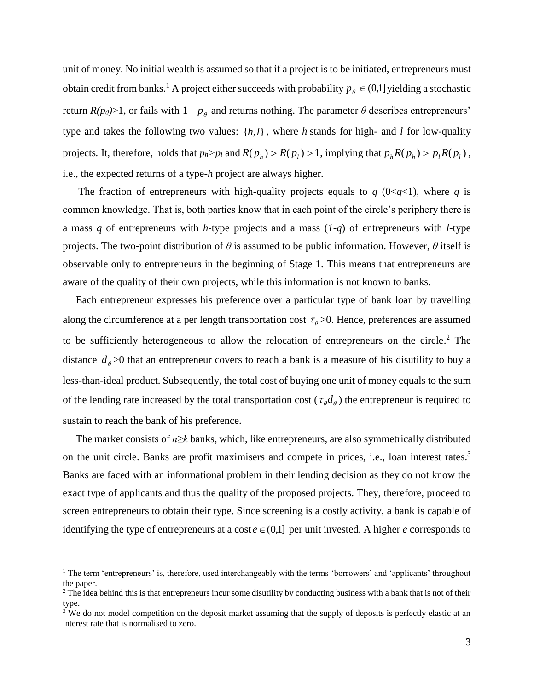unit of money. No initial wealth is assumed so that if a project is to be initiated, entrepreneurs must obtain credit from banks.<sup>1</sup> A project either succeeds with probability  $p_{\theta} \in (0,1]$  yielding a stochastic return  $R(p_{\theta}) > 1$ , or fails with  $1 - p_{\theta}$  and returns nothing. The parameter  $\theta$  describes entrepreneurs' type and takes the following two values:  $\{h, l\}$ , where *h* stands for high- and *l* for low-quality projects. It, therefore, holds that  $p_h > p_l$  and  $R(p_h) > R(p_l) > 1$ , implying that  $p_h R(p_h) > p_l R(p_l)$ , i.e., the expected returns of a type-*h* project are always higher.

The fraction of entrepreneurs with high-quality projects equals to  $q(0\leq q\leq 1)$ , where  $q$  is common knowledge. That is, both parties know that in each point of the circle's periphery there is a mass *q* of entrepreneurs with *h*-type projects and a mass (*1-q*) of entrepreneurs with *l*-type projects. The two-point distribution of  $\theta$  is assumed to be public information. However,  $\theta$  itself is observable only to entrepreneurs in the beginning of Stage 1. This means that entrepreneurs are aware of the quality of their own projects, while this information is not known to banks.

 Each entrepreneur expresses his preference over a particular type of bank loan by travelling along the circumference at a per length transportation cost  $\tau_{\theta}$  >0. Hence, preferences are assumed to be sufficiently heterogeneous to allow the relocation of entrepreneurs on the circle.<sup>2</sup> The distance  $d_{\theta}$  >0 that an entrepreneur covers to reach a bank is a measure of his disutility to buy a less-than-ideal product. Subsequently, the total cost of buying one unit of money equals to the sum of the lending rate increased by the total transportation cost ( $\tau_{\theta}d_{\theta}$ ) the entrepreneur is required to sustain to reach the bank of his preference.

 The market consists of *n≥k* banks, which, like entrepreneurs, are also symmetrically distributed on the unit circle. Banks are profit maximisers and compete in prices, i.e., loan interest rates.<sup>3</sup> Banks are faced with an informational problem in their lending decision as they do not know the exact type of applicants and thus the quality of the proposed projects. They, therefore, proceed to screen entrepreneurs to obtain their type. Since screening is a costly activity, a bank is capable of identifying the type of entrepreneurs at a cost  $e \in (0,1]$  per unit invested. A higher *e* corresponds to

 $\overline{a}$ 

 $<sup>1</sup>$  The term 'entrepreneurs' is, therefore, used interchangeably with the terms 'borrowers' and 'applicants' throughout</sup> the paper.

 $2$  The idea behind this is that entrepreneurs incur some disutility by conducting business with a bank that is not of their type.

<sup>&</sup>lt;sup>3</sup> We do not model competition on the deposit market assuming that the supply of deposits is perfectly elastic at an interest rate that is normalised to zero.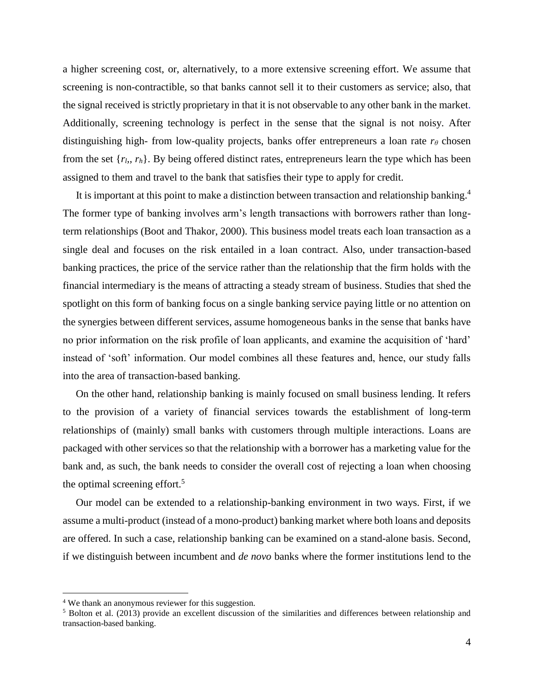a higher screening cost, or, alternatively, to a more extensive screening effort. We assume that screening is non-contractible, so that banks cannot sell it to their customers as service; also, that the signal received is strictly proprietary in that it is not observable to any other bank in the market. Additionally, screening technology is perfect in the sense that the signal is not noisy. After distinguishing high- from low-quality projects, banks offer entrepreneurs a loan rate  $r_\theta$  chosen from the set  $\{r_l, r_h\}$ . By being offered distinct rates, entrepreneurs learn the type which has been assigned to them and travel to the bank that satisfies their type to apply for credit.

It is important at this point to make a distinction between transaction and relationship banking.<sup>4</sup> The former type of banking involves arm's length transactions with borrowers rather than longterm relationships (Boot and Thakor, 2000). This business model treats each loan transaction as a single deal and focuses on the risk entailed in a loan contract. Also, under transaction-based banking practices, the price of the service rather than the relationship that the firm holds with the financial intermediary is the means of attracting a steady stream of business. Studies that shed the spotlight on this form of banking focus on a single banking service paying little or no attention on the synergies between different services, assume homogeneous banks in the sense that banks have no prior information on the risk profile of loan applicants, and examine the acquisition of 'hard' instead of 'soft' information. Our model combines all these features and, hence, our study falls into the area of transaction-based banking.

 On the other hand, relationship banking is mainly focused on small business lending. It refers to the provision of a variety of financial services towards the establishment of long-term relationships of (mainly) small banks with customers through multiple interactions. Loans are packaged with other services so that the relationship with a borrower has a marketing value for the bank and, as such, the bank needs to consider the overall cost of rejecting a loan when choosing the optimal screening effort.<sup>5</sup>

 Our model can be extended to a relationship-banking environment in two ways. First, if we assume a multi-product (instead of a mono-product) banking market where both loans and deposits are offered. In such a case, relationship banking can be examined on a stand-alone basis. Second, if we distinguish between incumbent and *de novo* banks where the former institutions lend to the

 $\overline{a}$ 

<sup>4</sup> We thank an anonymous reviewer for this suggestion.

<sup>5</sup> Bolton et al. (2013) provide an excellent discussion of the similarities and differences between relationship and transaction-based banking.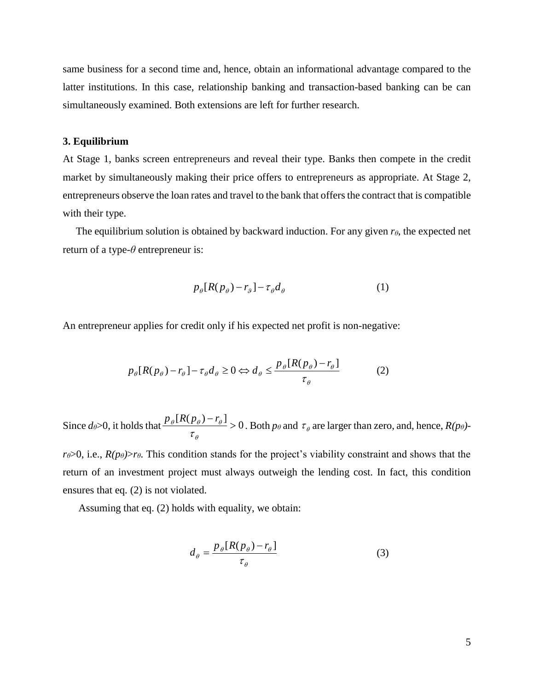same business for a second time and, hence, obtain an informational advantage compared to the latter institutions. In this case, relationship banking and transaction-based banking can be can simultaneously examined. Both extensions are left for further research.

#### **3. Equilibrium**

At Stage 1, banks screen entrepreneurs and reveal their type. Banks then compete in the credit market by simultaneously making their price offers to entrepreneurs as appropriate. At Stage 2, entrepreneurs observe the loan rates and travel to the bank that offers the contract that is compatible with their type.

 The equilibrium solution is obtained by backward induction. For any given *rθ*, the expected net return of a type-*θ* entrepreneur is:

$$
p_{\theta}[R(p_{\theta}) - r_{\theta}] - \tau_{\theta} d_{\theta} \tag{1}
$$

An entrepreneur applies for credit only if his expected net profit is non-negative:

$$
p_{\theta}[R(p_{\theta}) - r_{\theta}] - \tau_{\theta}d_{\theta} \ge 0 \Leftrightarrow d_{\theta} \le \frac{p_{\theta}[R(p_{\theta}) - r_{\theta}]}{\tau_{\theta}}
$$
(2)

Since  $d_{\theta} > 0$ , it holds that  $\frac{P_{\theta} P_{\theta} P_{\theta}}{P_{\theta}} > 0$  $\frac{[R(p_\theta)-r_\theta]}{2}$  $\overline{\phantom{0}}$  $\theta$  $\theta$ LIV $P\theta$ )  $\theta$ τ  $p_{\theta}[R(p_{\theta})-r]$ . Both  $p_\theta$  and  $\tau_\theta$  are larger than zero, and, hence,  $R(p_\theta)$ -

 $r_{\theta} > 0$ , i.e.,  $R(p_{\theta}) > r_{\theta}$ . This condition stands for the project's viability constraint and shows that the return of an investment project must always outweigh the lending cost. In fact, this condition ensures that eq. (2) is not violated.

Assuming that eq. (2) holds with equality, we obtain:

$$
d_{\theta} = \frac{p_{\theta}[R(p_{\theta}) - r_{\theta}]}{\tau_{\theta}}
$$
 (3)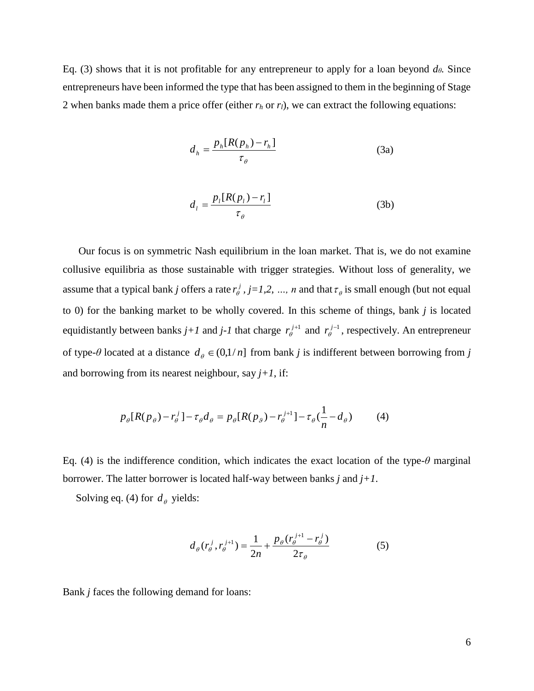Eq. (3) shows that it is not profitable for any entrepreneur to apply for a loan beyond *dθ.* Since entrepreneurs have been informed the type that has been assigned to them in the beginning of Stage 2 when banks made them a price offer (either *r<sup>h</sup>* or *rl*), we can extract the following equations:

$$
d_h = \frac{p_h[R(p_h) - r_h]}{\tau_\theta} \tag{3a}
$$

$$
d_{l} = \frac{p_{l}[R(p_{l}) - r_{l}]}{\tau_{\theta}}
$$
 (3b)

Our focus is on symmetric Nash equilibrium in the loan market. That is, we do not examine collusive equilibria as those sustainable with trigger strategies. Without loss of generality, we assume that a typical bank *j* offers a rate  $r^j_\theta$ ,  $j=1,2, ..., n$  and that  $\tau_\theta$  is small enough (but not equal to 0) for the banking market to be wholly covered. In this scheme of things, bank *j* is located equidistantly between banks  $j+1$  and  $j-1$  that charge  $r_\theta^{j+1}$  and  $r_\theta^{j-1}$ , respectively. An entrepreneur of type- $\theta$  located at a distance  $d_{\theta} \in (0,1/n]$  from bank *j* is indifferent between borrowing from *j* and borrowing from its nearest neighbour, say  $j+1$ , if:

$$
p_{\theta}[R(p_{\theta}) - r_{\theta}^{j}] - \tau_{\theta}d_{\theta} = p_{\theta}[R(p_{\theta}) - r_{\theta}^{j+1}] - \tau_{\theta}(\frac{1}{n} - d_{\theta})
$$
(4)

Eq. (4) is the indifference condition, which indicates the exact location of the type- $\theta$  marginal borrower. The latter borrower is located half-way between banks *j* and *j+1*.

Solving eq. (4) for  $d_{\theta}$  yields:

$$
d_{\theta}(r_{\theta}^{j}, r_{\theta}^{j+1}) = \frac{1}{2n} + \frac{p_{\theta}(r_{\theta}^{j+1} - r_{\theta}^{j})}{2\tau_{\theta}}
$$
(5)

Bank *j* faces the following demand for loans: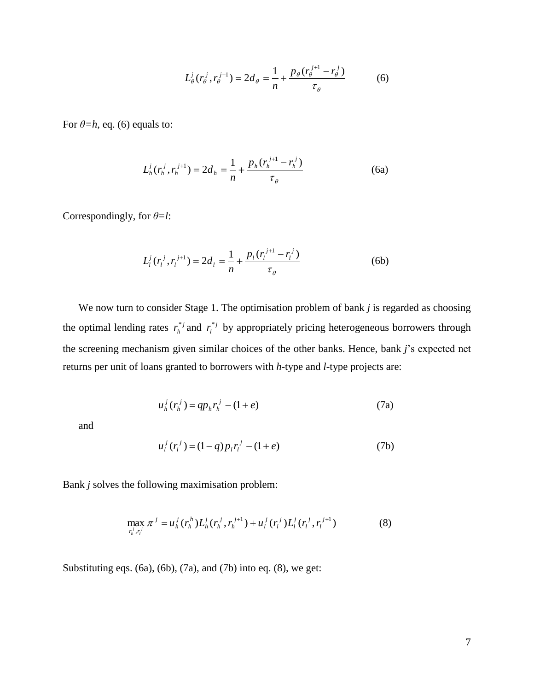$$
L^j_\theta(r_\theta^j, r_\theta^{j+1}) = 2d_\theta = \frac{1}{n} + \frac{p_\theta(r_\theta^{j+1} - r_\theta^j)}{\tau_\theta} \tag{6}
$$

For  $\theta = h$ , eq. (6) equals to:

$$
L_h^j(r_h^j, r_h^{j+1}) = 2d_h = \frac{1}{n} + \frac{p_h(r_h^{j+1} - r_h^j)}{\tau_\theta}
$$
 (6a)

Correspondingly, for *θ=l*:

$$
L_{i}^{j}(r_{i}^{j}, r_{i}^{j+1}) = 2d_{i} = \frac{1}{n} + \frac{p_{i}(r_{i}^{j+1} - r_{i}^{j})}{\tau_{\theta}}
$$
(6b)

We now turn to consider Stage 1. The optimisation problem of bank *j* is regarded as choosing the optimal lending rates  $r_h^{*j}$  $r_h^{*j}$  and  $r_l^{*j}$  $r_i^{*j}$  by appropriately pricing heterogeneous borrowers through the screening mechanism given similar choices of the other banks. Hence, bank *j*'s expected net returns per unit of loans granted to borrowers with *h*-type and *l*-type projects are:

$$
u_h^j(r_h^j) = qp_h r_h^j - (1+e)
$$
 (7a)

and

$$
u_l^j(r_l^j) = (1-q)p_l r_l^j - (1+e)
$$
 (7b)

Bank *j* solves the following maximisation problem:

$$
\max_{r_h^j, r_l^j} \pi^j = u_h^j(r_h^h) L_h^j(r_h^j, r_h^{j+1}) + u_l^j(r_l^j) L_l^j(r_l^j, r_l^{j+1}) \tag{8}
$$

Substituting eqs. (6a), (6b), (7a), and (7b) into eq. (8), we get: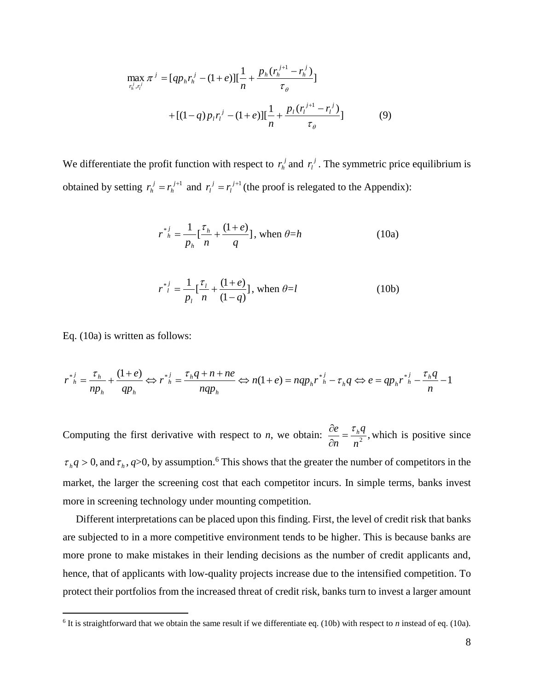$$
\max_{r_h^j, r_l^j} \pi^j = [qp_h r_h^j - (1+e)] \left[ \frac{1}{n} + \frac{p_h (r_h^{j+1} - r_h^j)}{\tau_\theta} \right] + [(1-q)p_l r_l^j - (1+e)] \left[ \frac{1}{n} + \frac{p_l (r_l^{j+1} - r_l^j)}{\tau_\theta} \right]
$$
(9)

We differentiate the profit function with respect to  $r_h^j$  $r_h^j$  and  $r_l^j$  $r_l^j$ . The symmetric price equilibrium is obtained by setting  $r_h^j = r_h^{j+1}$ *h j*  $r_h^j = r_h^{j+1}$  and  $r_l^j = r_l^{j+1}$ *l j*  $r_l^j = r_l^{j+1}$  (the proof is relegated to the Appendix):

$$
r_{h}^{*j} = \frac{1}{p_{h}} \left[ \frac{\tau_{h}}{n} + \frac{(1+e)}{q} \right], \text{ when } \theta = h \tag{10a}
$$

$$
r^{*j}_{l} = \frac{1}{p_l} \left[ \frac{\tau_l}{n} + \frac{(1+e)}{(1-q)} \right], \text{ when } \theta = l \tag{10b}
$$

Eq. (10a) is written as follows:

 $\overline{a}$ 

$$
r_{h}^{*j} = \frac{\tau_{h}}{np_{h}} + \frac{(1+e)}{qp_{h}} \Leftrightarrow r_{h}^{*j} = \frac{\tau_{h}q + n + ne}{nqp_{h}} \Leftrightarrow n(1+e) = nqp_{h}r_{h}^{*j} - \tau_{h}q \Leftrightarrow e = qp_{h}r_{h}^{*j} - \frac{\tau_{h}q}{n} - 1
$$

Computing the first derivative with respect to *n*, we obtain:  $\frac{\partial c}{\partial n} = \frac{c_h q}{n^2}$ , *q n*  $\frac{e}{h} = \frac{\tau_h}{h}$  $\partial$  $\frac{\partial e}{\partial t} = \frac{\tau_h q}{r^2}$ , which is positive since

 $\tau_h q > 0$ , and  $\tau_h$ ,  $q > 0$ , by assumption.<sup>6</sup> This shows that the greater the number of competitors in the market, the larger the screening cost that each competitor incurs. In simple terms, banks invest more in screening technology under mounting competition.

 Different interpretations can be placed upon this finding. First, the level of credit risk that banks are subjected to in a more competitive environment tends to be higher. This is because banks are more prone to make mistakes in their lending decisions as the number of credit applicants and, hence, that of applicants with low-quality projects increase due to the intensified competition. To protect their portfolios from the increased threat of credit risk, banks turn to invest a larger amount

 $6$  It is straightforward that we obtain the same result if we differentiate eq. (10b) with respect to *n* instead of eq. (10a).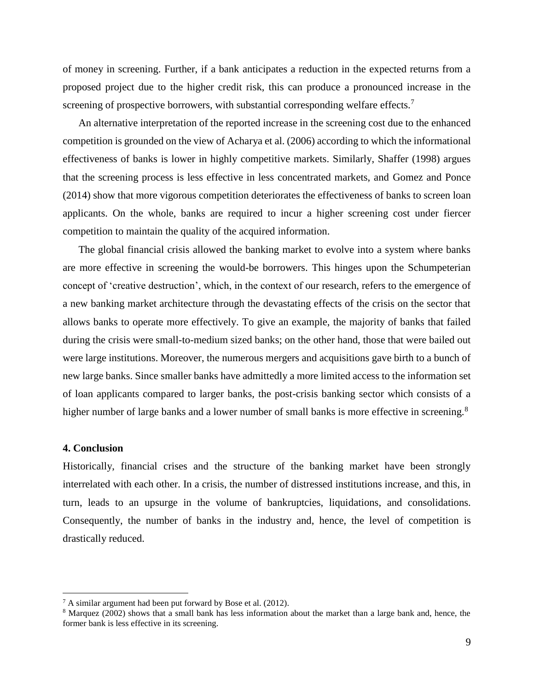of money in screening. Further, if a bank anticipates a reduction in the expected returns from a proposed project due to the higher credit risk, this can produce a pronounced increase in the screening of prospective borrowers, with substantial corresponding welfare effects.<sup>7</sup>

An alternative interpretation of the reported increase in the screening cost due to the enhanced competition is grounded on the view of Acharya et al. (2006) according to which the informational effectiveness of banks is lower in highly competitive markets. Similarly, Shaffer (1998) argues that the screening process is less effective in less concentrated markets, and Gomez and Ponce (2014) show that more vigorous competition deteriorates the effectiveness of banks to screen loan applicants. On the whole, banks are required to incur a higher screening cost under fiercer competition to maintain the quality of the acquired information.

The global financial crisis allowed the banking market to evolve into a system where banks are more effective in screening the would-be borrowers. This hinges upon the Schumpeterian concept of 'creative destruction', which, in the context of our research, refers to the emergence of a new banking market architecture through the devastating effects of the crisis on the sector that allows banks to operate more effectively. To give an example, the majority of banks that failed during the crisis were small-to-medium sized banks; on the other hand, those that were bailed out were large institutions. Moreover, the numerous mergers and acquisitions gave birth to a bunch of new large banks. Since smaller banks have admittedly a more limited access to the information set of loan applicants compared to larger banks, the post-crisis banking sector which consists of a higher number of large banks and a lower number of small banks is more effective in screening.<sup>8</sup>

#### **4. Conclusion**

 $\overline{a}$ 

Historically, financial crises and the structure of the banking market have been strongly interrelated with each other. In a crisis, the number of distressed institutions increase, and this, in turn, leads to an upsurge in the volume of bankruptcies, liquidations, and consolidations. Consequently, the number of banks in the industry and, hence, the level of competition is drastically reduced.

<sup>7</sup> A similar argument had been put forward by Bose et al. (2012).

<sup>8</sup> Marquez (2002) shows that a small bank has less information about the market than a large bank and, hence, the former bank is less effective in its screening.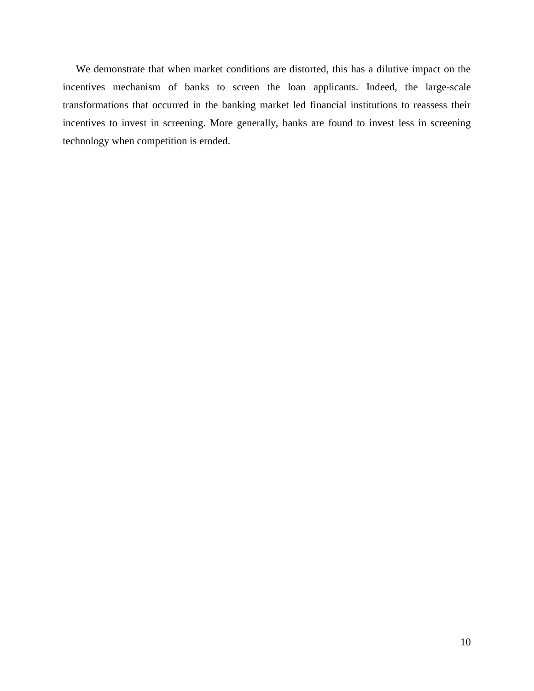We demonstrate that when market conditions are distorted, this has a dilutive impact on the incentives mechanism of banks to screen the loan applicants. Indeed, the large-scale transformations that occurred in the banking market led financial institutions to reassess their incentives to invest in screening. More generally, banks are found to invest less in screening technology when competition is eroded.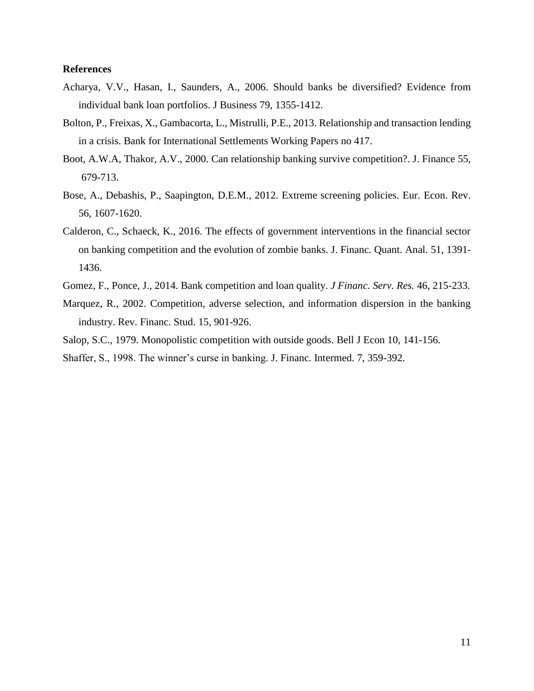#### **References**

- Acharya, V.V., Hasan, I., Saunders, A., 2006. Should banks be diversified? Evidence from individual bank loan portfolios. J Business 79, 1355-1412.
- Bolton, P., Freixas, X., Gambacorta, L., Mistrulli, P.E., 2013. Relationship and transaction lending in a crisis. Bank for International Settlements Working Papers no 417.
- Boot, A.W.A, Thakor, A.V., 2000. Can relationship banking survive competition?. J. Finance 55, 679-713.
- Bose, A., Debashis, P., Saapington, D.E.M., 2012. Extreme screening policies. Eur. Econ. Rev. 56, 1607-1620.
- Calderon, C., Schaeck, K., 2016. The effects of government interventions in the financial sector on banking competition and the evolution of zombie banks. J. Financ. Quant. Anal. 51, 1391- 1436.
- Gomez, F., Ponce, J., 2014. Bank competition and loan quality. *J Financ. Serv. Res.* 46, 215-233.
- Marquez, R., 2002. Competition, adverse selection, and information dispersion in the banking industry. Rev. Financ. Stud. 15, 901-926.
- Salop, S.C., 1979. Monopolistic competition with outside goods. Bell J Econ 10, 141-156.
- Shaffer, S., 1998. The winner's curse in banking. J. Financ. Intermed. 7, 359-392.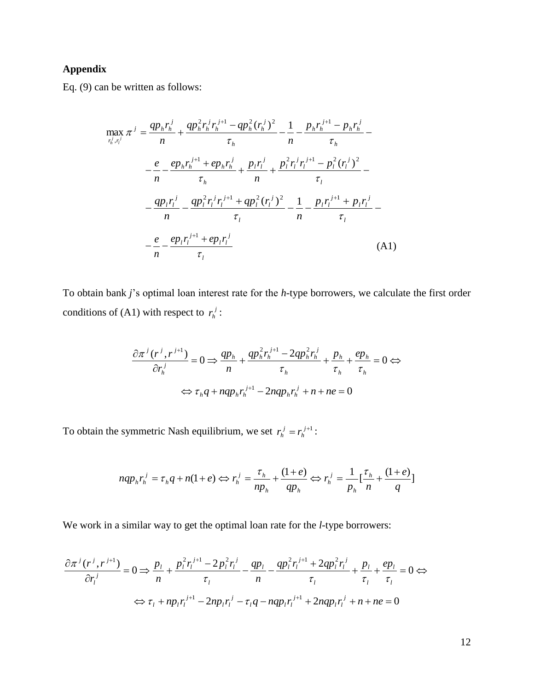## **Appendix**

Eq. (9) can be written as follows:

$$
\max_{r_h^j, r_l^j} \pi^j = \frac{qp_h r_h^j}{n} + \frac{qp_h^2 r_h^j r_h^{j+1} - qp_h^2 (r_h^j)^2}{\tau_h} - \frac{1}{n} - \frac{p_h r_h^{j+1} - p_h r_h^j}{\tau_h} - \frac{e}{n} - \frac{ep_h r_h^{j+1} + ep_h r_h^j}{\tau_h} + \frac{p_l r_l^j}{n} + \frac{p_l^2 r_l^j r_l^{j+1} - p_l^2 (r_l^j)^2}{\tau_l} - \frac{qp_l r_l^j}{n} - \frac{qp_l^2 r_l^j r_l^{j+1} + qp_l^2 (r_l^j)^2}{\tau_l} - \frac{1}{n} - \frac{p_l r_l^{j+1} + p_l r_l^j}{\tau_l} - \frac{e}{n} - \frac{ep_l r_l^{j+1} + ep_l r_l^j}{\tau_l}
$$
\n(A1)

To obtain bank *j*'s optimal loan interest rate for the *h*-type borrowers, we calculate the first order conditions of (A1) with respect to  $r_h^j$  $r_h^j$  :

$$
\frac{\partial \pi^j (r^j, r^{j+1})}{\partial r_h^j} = 0 \Longrightarrow \frac{qp_h}{n} + \frac{qp_h^2 r_h^{j+1} - 2qp_h^2 r_h^j}{\tau_h} + \frac{p_h}{\tau_h} + \frac{ep_h}{\tau_h} = 0 \Leftrightarrow
$$
  

$$
\Leftrightarrow \tau_h q + nqp_h r_h^{j+1} - 2nqp_h r_h^j + n + ne = 0
$$

To obtain the symmetric Nash equilibrium, we set  $r_h^j = r_h^{j+1}$ *h j*  $r_h^{\ j} = r_h^{\ j+1}$ :

$$
nqp_h r_h^j = \tau_h q + n(1+e) \Leftrightarrow r_h^j = \frac{\tau_h}{np_h} + \frac{(1+e)}{qp_h} \Leftrightarrow r_h^j = \frac{1}{p_h} \left[ \frac{\tau_h}{n} + \frac{(1+e)}{q} \right]
$$

We work in a similar way to get the optimal loan rate for the *l*-type borrowers:

$$
\frac{\partial \pi^{j}(r^{j},r^{j+1})}{\partial r_{l}^{j}} = 0 \Rightarrow \frac{p_{l}}{n} + \frac{p_{l}^{2}r_{l}^{j+1} - 2p_{l}^{2}r_{l}^{j}}{\tau_{l}} - \frac{qp_{l}}{n} - \frac{qp_{l}^{2}r_{l}^{j+1} + 2qp_{l}^{2}r_{l}^{j}}{\tau_{l}} + \frac{p_{l}}{\tau_{l}} + \frac{ep_{l}}{\tau_{l}} = 0 \Leftrightarrow
$$
  

$$
\Leftrightarrow \tau_{l} + np_{l}r_{l}^{j+1} - 2np_{l}r_{l}^{j} - \tau_{l}q - nqp_{l}r_{l}^{j+1} + 2nqp_{l}r_{l}^{j} + n + ne = 0
$$